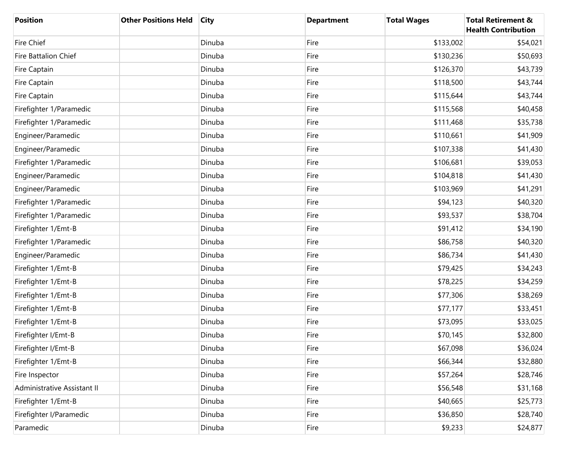| <b>Position</b>             | <b>Other Positions Held</b> | <b>City</b> | <b>Department</b> | <b>Total Wages</b> | <b>Total Retirement &amp;</b><br><b>Health Contribution</b> |
|-----------------------------|-----------------------------|-------------|-------------------|--------------------|-------------------------------------------------------------|
| <b>Fire Chief</b>           |                             | Dinuba      | Fire              | \$133,002          | \$54,021                                                    |
| <b>Fire Battalion Chief</b> |                             | Dinuba      | Fire              | \$130,236          | \$50,693                                                    |
| Fire Captain                |                             | Dinuba      | Fire              | \$126,370          | \$43,739                                                    |
| Fire Captain                |                             | Dinuba      | Fire              | \$118,500          | \$43,744                                                    |
| Fire Captain                |                             | Dinuba      | Fire              | \$115,644          | \$43,744                                                    |
| Firefighter 1/Paramedic     |                             | Dinuba      | Fire              | \$115,568          | \$40,458                                                    |
| Firefighter 1/Paramedic     |                             | Dinuba      | Fire              | \$111,468          | \$35,738                                                    |
| Engineer/Paramedic          |                             | Dinuba      | Fire              | \$110,661          | \$41,909                                                    |
| Engineer/Paramedic          |                             | Dinuba      | Fire              | \$107,338          | \$41,430                                                    |
| Firefighter 1/Paramedic     |                             | Dinuba      | Fire              | \$106,681          | \$39,053                                                    |
| Engineer/Paramedic          |                             | Dinuba      | Fire              | \$104,818          | \$41,430                                                    |
| Engineer/Paramedic          |                             | Dinuba      | Fire              | \$103,969          | \$41,291                                                    |
| Firefighter 1/Paramedic     |                             | Dinuba      | Fire              | \$94,123           | \$40,320                                                    |
| Firefighter 1/Paramedic     |                             | Dinuba      | Fire              | \$93,537           | \$38,704                                                    |
| Firefighter 1/Emt-B         |                             | Dinuba      | Fire              | \$91,412           | \$34,190                                                    |
| Firefighter 1/Paramedic     |                             | Dinuba      | Fire              | \$86,758           | \$40,320                                                    |
| Engineer/Paramedic          |                             | Dinuba      | Fire              | \$86,734           | \$41,430                                                    |
| Firefighter 1/Emt-B         |                             | Dinuba      | Fire              | \$79,425           | \$34,243                                                    |
| Firefighter 1/Emt-B         |                             | Dinuba      | Fire              | \$78,225           | \$34,259                                                    |
| Firefighter 1/Emt-B         |                             | Dinuba      | Fire              | \$77,306           | \$38,269                                                    |
| Firefighter 1/Emt-B         |                             | Dinuba      | Fire              | \$77,177           | \$33,451                                                    |
| Firefighter 1/Emt-B         |                             | Dinuba      | Fire              | \$73,095           | \$33,025                                                    |
| Firefighter I/Emt-B         |                             | Dinuba      | Fire              | \$70,145           | \$32,800                                                    |
| Firefighter I/Emt-B         |                             | Dinuba      | Fire              | \$67,098           | \$36,024                                                    |
| Firefighter 1/Emt-B         |                             | Dinuba      | Fire              | \$66,344           | \$32,880                                                    |
| Fire Inspector              |                             | Dinuba      | Fire              | \$57,264           | \$28,746                                                    |
| Administrative Assistant II |                             | Dinuba      | Fire              | \$56,548           | \$31,168                                                    |
| Firefighter 1/Emt-B         |                             | Dinuba      | Fire              | \$40,665           | \$25,773                                                    |
| Firefighter I/Paramedic     |                             | Dinuba      | Fire              | \$36,850           | \$28,740                                                    |
| Paramedic                   |                             | Dinuba      | Fire              | \$9,233            | \$24,877                                                    |